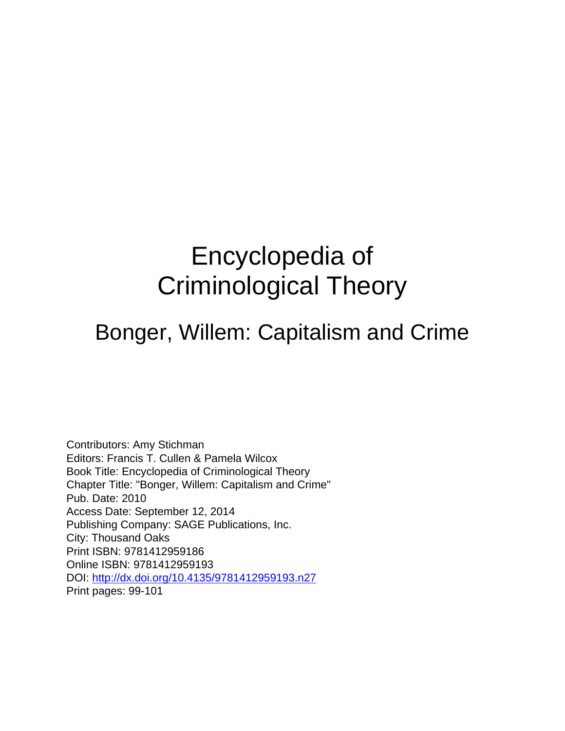# Encyclopedia of Criminological Theory

#### Bonger, Willem: Capitalism and Crime

Contributors: Amy Stichman Editors: Francis T. Cullen & Pamela Wilcox Book Title: Encyclopedia of Criminological Theory Chapter Title: "Bonger, Willem: Capitalism and Crime" Pub. Date: 2010 Access Date: September 12, 2014 Publishing Company: SAGE Publications, Inc. City: Thousand Oaks Print ISBN: 9781412959186 Online ISBN: 9781412959193 DOI:<http://dx.doi.org/10.4135/9781412959193.n27> Print pages: 99-101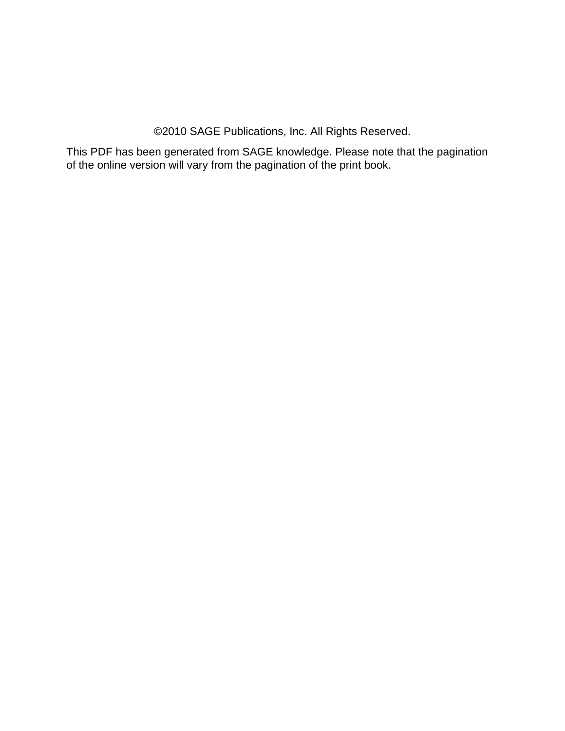©2010 SAGE Publications, Inc. All Rights Reserved.

This PDF has been generated from SAGE knowledge. Please note that the pagination of the online version will vary from the pagination of the print book.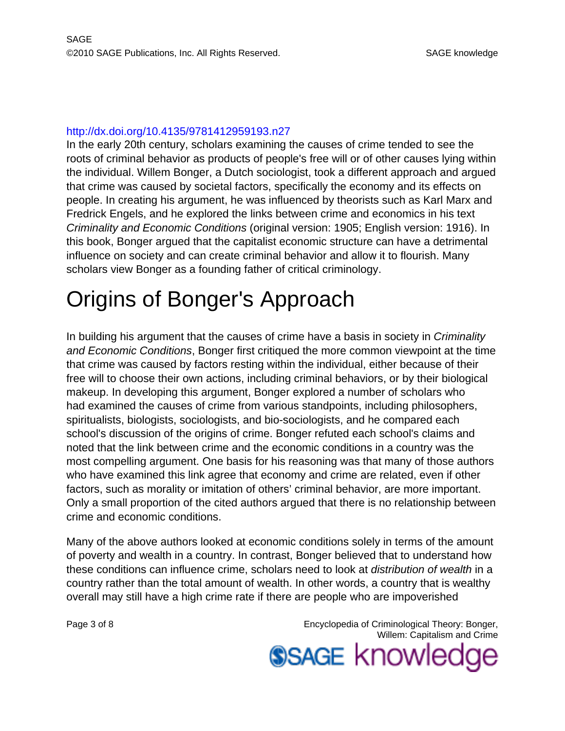#### <http://dx.doi.org/10.4135/9781412959193.n27>

In the early 20th century, scholars examining the causes of crime tended to see the roots of criminal behavior as products of people's free will or of other causes lying within the individual. Willem Bonger, a Dutch sociologist, took a different approach and argued that crime was caused by societal factors, specifically the economy and its effects on people. In creating his argument, he was influenced by theorists such as Karl Marx and Fredrick Engels, and he explored the links between crime and economics in his text Criminality and Economic Conditions (original version: 1905; English version: 1916). In this book, Bonger argued that the capitalist economic structure can have a detrimental influence on society and can create criminal behavior and allow it to flourish. Many scholars view Bonger as a founding father of critical criminology.

### Origins of Bonger's Approach

In building his argument that the causes of crime have a basis in society in *Criminality* and Economic Conditions, Bonger first critiqued the more common viewpoint at the time that crime was caused by factors resting within the individual, either because of their free will to choose their own actions, including criminal behaviors, or by their biological makeup. In developing this argument, Bonger explored a number of scholars who had examined the causes of crime from various standpoints, including philosophers, spiritualists, biologists, sociologists, and bio-sociologists, and he compared each school's discussion of the origins of crime. Bonger refuted each school's claims and noted that the link between crime and the economic conditions in a country was the most compelling argument. One basis for his reasoning was that many of those authors who have examined this link agree that economy and crime are related, even if other factors, such as morality or imitation of others' criminal behavior, are more important. Only a small proportion of the cited authors argued that there is no relationship between crime and economic conditions.

Many of the above authors looked at economic conditions solely in terms of the amount of poverty and wealth in a country. In contrast, Bonger believed that to understand how these conditions can influence crime, scholars need to look at distribution of wealth in a country rather than the total amount of wealth. In other words, a country that is wealthy overall may still have a high crime rate if there are people who are impoverished

Page 3 of 8 Encyclopedia of Criminological Theory: Bonger, Willem: Capitalism and Crime

**SSAGE knowledge**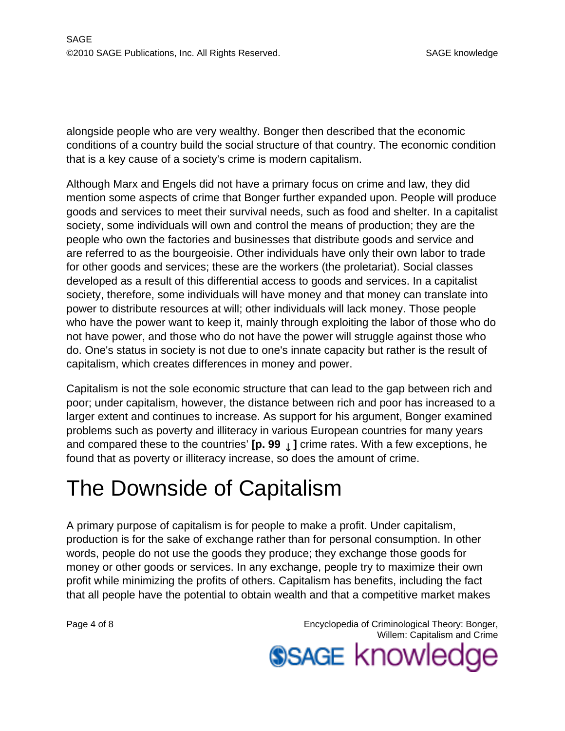alongside people who are very wealthy. Bonger then described that the economic conditions of a country build the social structure of that country. The economic condition that is a key cause of a society's crime is modern capitalism.

Although Marx and Engels did not have a primary focus on crime and law, they did mention some aspects of crime that Bonger further expanded upon. People will produce goods and services to meet their survival needs, such as food and shelter. In a capitalist society, some individuals will own and control the means of production; they are the people who own the factories and businesses that distribute goods and service and are referred to as the bourgeoisie. Other individuals have only their own labor to trade for other goods and services; these are the workers (the proletariat). Social classes developed as a result of this differential access to goods and services. In a capitalist society, therefore, some individuals will have money and that money can translate into power to distribute resources at will; other individuals will lack money. Those people who have the power want to keep it, mainly through exploiting the labor of those who do not have power, and those who do not have the power will struggle against those who do. One's status in society is not due to one's innate capacity but rather is the result of capitalism, which creates differences in money and power.

Capitalism is not the sole economic structure that can lead to the gap between rich and poor; under capitalism, however, the distance between rich and poor has increased to a larger extent and continues to increase. As support for his argument, Bonger examined problems such as poverty and illiteracy in various European countries for many years and compared these to the countries' **[p. 99** ↓ **]** crime rates. With a few exceptions, he found that as poverty or illiteracy increase, so does the amount of crime.

### The Downside of Capitalism

A primary purpose of capitalism is for people to make a profit. Under capitalism, production is for the sake of exchange rather than for personal consumption. In other words, people do not use the goods they produce; they exchange those goods for money or other goods or services. In any exchange, people try to maximize their own profit while minimizing the profits of others. Capitalism has benefits, including the fact that all people have the potential to obtain wealth and that a competitive market makes

Page 4 of 8 Encyclopedia of Criminological Theory: Bonger, Willem: Capitalism and Crime

**SSAGE knowledge**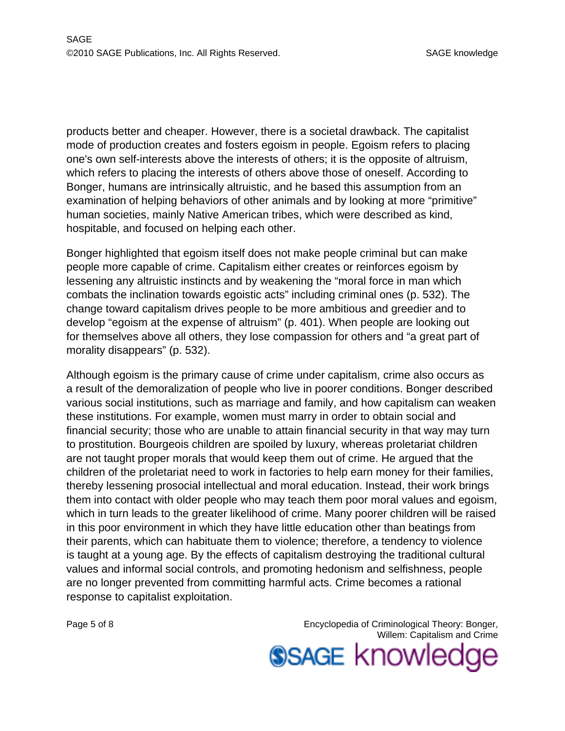products better and cheaper. However, there is a societal drawback. The capitalist mode of production creates and fosters egoism in people. Egoism refers to placing one's own self-interests above the interests of others; it is the opposite of altruism, which refers to placing the interests of others above those of oneself. According to Bonger, humans are intrinsically altruistic, and he based this assumption from an examination of helping behaviors of other animals and by looking at more "primitive" human societies, mainly Native American tribes, which were described as kind, hospitable, and focused on helping each other.

Bonger highlighted that egoism itself does not make people criminal but can make people more capable of crime. Capitalism either creates or reinforces egoism by lessening any altruistic instincts and by weakening the "moral force in man which combats the inclination towards egoistic acts" including criminal ones (p. 532). The change toward capitalism drives people to be more ambitious and greedier and to develop "egoism at the expense of altruism" (p. 401). When people are looking out for themselves above all others, they lose compassion for others and "a great part of morality disappears" (p. 532).

Although egoism is the primary cause of crime under capitalism, crime also occurs as a result of the demoralization of people who live in poorer conditions. Bonger described various social institutions, such as marriage and family, and how capitalism can weaken these institutions. For example, women must marry in order to obtain social and financial security; those who are unable to attain financial security in that way may turn to prostitution. Bourgeois children are spoiled by luxury, whereas proletariat children are not taught proper morals that would keep them out of crime. He argued that the children of the proletariat need to work in factories to help earn money for their families, thereby lessening prosocial intellectual and moral education. Instead, their work brings them into contact with older people who may teach them poor moral values and egoism, which in turn leads to the greater likelihood of crime. Many poorer children will be raised in this poor environment in which they have little education other than beatings from their parents, which can habituate them to violence; therefore, a tendency to violence is taught at a young age. By the effects of capitalism destroying the traditional cultural values and informal social controls, and promoting hedonism and selfishness, people are no longer prevented from committing harmful acts. Crime becomes a rational response to capitalist exploitation.

Page 5 of 8 **Encyclopedia of Criminological Theory: Bonger,** Encyclopedia of Criminological Theory: Bonger, Willem: Capitalism and Crime

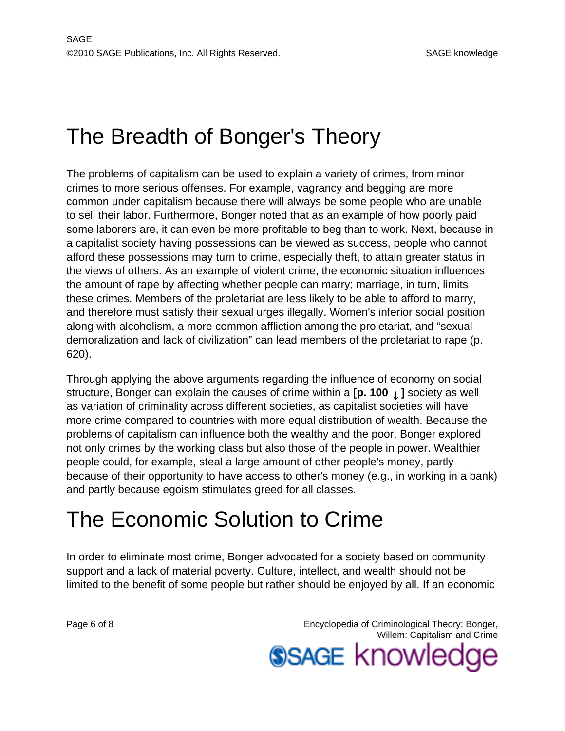### The Breadth of Bonger's Theory

The problems of capitalism can be used to explain a variety of crimes, from minor crimes to more serious offenses. For example, vagrancy and begging are more common under capitalism because there will always be some people who are unable to sell their labor. Furthermore, Bonger noted that as an example of how poorly paid some laborers are, it can even be more profitable to beg than to work. Next, because in a capitalist society having possessions can be viewed as success, people who cannot afford these possessions may turn to crime, especially theft, to attain greater status in the views of others. As an example of violent crime, the economic situation influences the amount of rape by affecting whether people can marry; marriage, in turn, limits these crimes. Members of the proletariat are less likely to be able to afford to marry, and therefore must satisfy their sexual urges illegally. Women's inferior social position along with alcoholism, a more common affliction among the proletariat, and "sexual demoralization and lack of civilization" can lead members of the proletariat to rape (p. 620).

Through applying the above arguments regarding the influence of economy on social structure, Bonger can explain the causes of crime within a **[p. 100** ↓ **]** society as well as variation of criminality across different societies, as capitalist societies will have more crime compared to countries with more equal distribution of wealth. Because the problems of capitalism can influence both the wealthy and the poor, Bonger explored not only crimes by the working class but also those of the people in power. Wealthier people could, for example, steal a large amount of other people's money, partly because of their opportunity to have access to other's money (e.g., in working in a bank) and partly because egoism stimulates greed for all classes.

## The Economic Solution to Crime

In order to eliminate most crime, Bonger advocated for a society based on community support and a lack of material poverty. Culture, intellect, and wealth should not be limited to the benefit of some people but rather should be enjoyed by all. If an economic

Page 6 of 8 Encyclopedia of Criminological Theory: Bonger, Willem: Capitalism and Crime **SSAGE knowleds**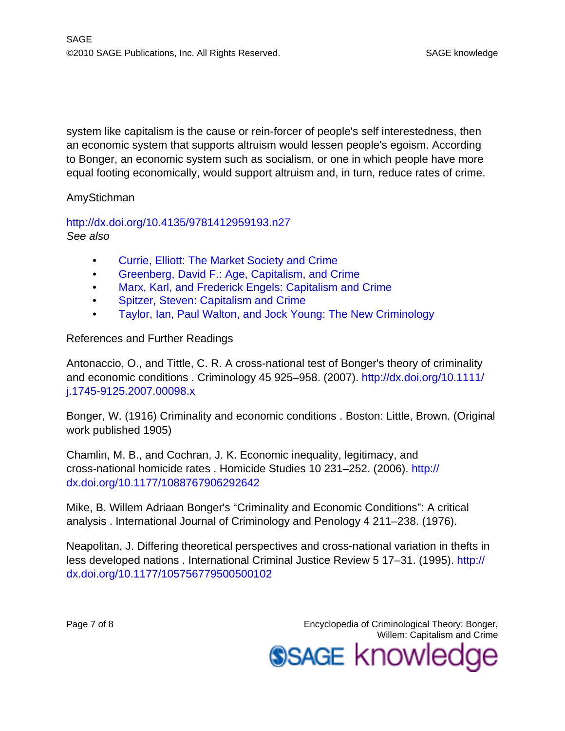system like capitalism is the cause or rein-forcer of people's self interestedness, then an economic system that supports altruism would lessen people's egoism. According to Bonger, an economic system such as socialism, or one in which people have more equal footing economically, would support altruism and, in turn, reduce rates of crime.

#### AmyStichman

<http://dx.doi.org/10.4135/9781412959193.n27> See also

- [Currie, Elliott: The Market Society and Crime](http://knowledge.sagepub.com/view/criminologicaltheory/n68.xml)
- [Greenberg, David F.: Age, Capitalism, and Crime](http://knowledge.sagepub.com/view/criminologicaltheory/n111.xml)
- [Marx, Karl, and Frederick Engels: Capitalism and Crime](http://knowledge.sagepub.com/view/criminologicaltheory/n160.xml)
- [Spitzer, Steven: Capitalism and Crime](http://knowledge.sagepub.com/view/criminologicaltheory/n241.xml)
- [Taylor, Ian, Paul Walton, and Jock Young: The New Criminology](http://knowledge.sagepub.com/view/criminologicaltheory/n257.xml)

#### References and Further Readings

Antonaccio, O., and Tittle, C. R. A cross-national test of Bonger's theory of criminality and economic conditions . Criminology 45 925–958. (2007). [http://dx.doi.org/10.1111/](http://dx.doi.org/10.1111/j.1745-9125.2007.00098.x) [j.1745-9125.2007.00098.x](http://dx.doi.org/10.1111/j.1745-9125.2007.00098.x)

Bonger, W. (1916) Criminality and economic conditions . Boston: Little, Brown. (Original work published 1905)

Chamlin, M. B., and Cochran, J. K. Economic inequality, legitimacy, and cross-national homicide rates . Homicide Studies 10 231–252. (2006). [http://](http://dx.doi.org/10.1177/1088767906292642) [dx.doi.org/10.1177/1088767906292642](http://dx.doi.org/10.1177/1088767906292642)

Mike, B. Willem Adriaan Bonger's "Criminality and Economic Conditions": A critical analysis . International Journal of Criminology and Penology 4 211–238. (1976).

Neapolitan, J. Differing theoretical perspectives and cross-national variation in thefts in less developed nations . International Criminal Justice Review 5 17–31. (1995). [http://](http://dx.doi.org/10.1177/105756779500500102) [dx.doi.org/10.1177/105756779500500102](http://dx.doi.org/10.1177/105756779500500102)

Page 7 of 8 **Encyclopedia of Criminological Theory: Bonger,** Encyclopedia of Criminological Theory: Bonger, Willem: Capitalism and Crime **SSAGE knowled**